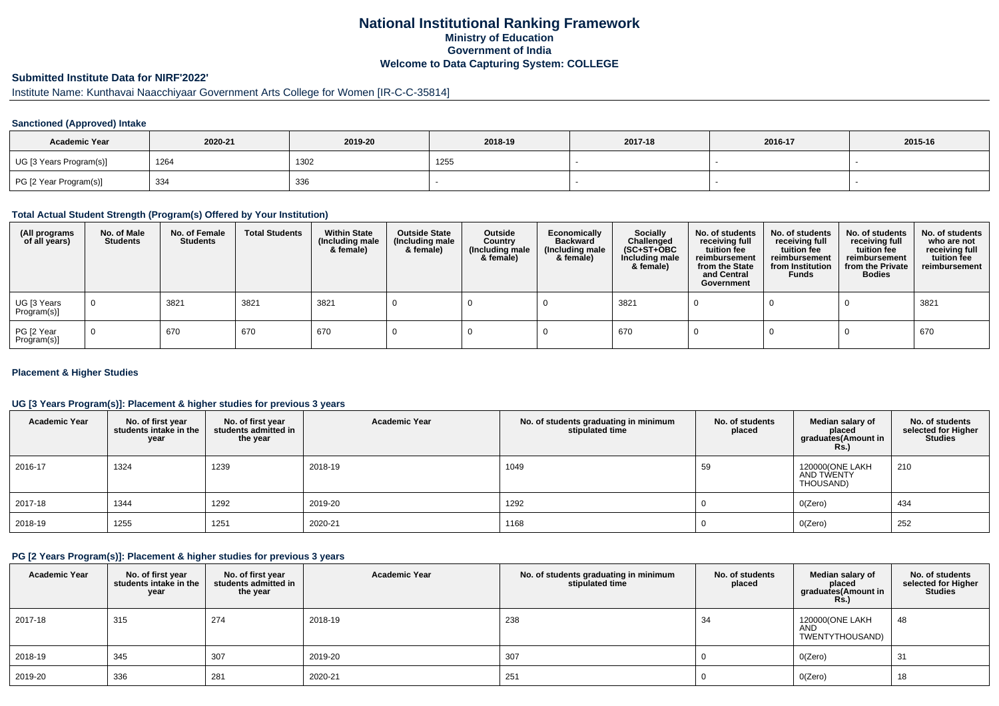## **National Institutional Ranking FrameworkMinistry of Education Government of IndiaWelcome to Data Capturing System: COLLEGE**

# **Submitted Institute Data for NIRF'2022'**

# Institute Name: Kunthavai Naacchiyaar Government Arts College for Women [IR-C-C-35814]

### **Sanctioned (Approved) Intake**

| <b>Academic Year</b>    | 2020-21 | 2019-20 | 2018-19 | 2017-18 | 2016-17 | 2015-16 |
|-------------------------|---------|---------|---------|---------|---------|---------|
| UG [3 Years Program(s)] | 1264    | 1302    | 1255    |         |         |         |
| PG [2 Year Program(s)]  | 334     | 336     |         |         |         |         |

#### **Total Actual Student Strength (Program(s) Offered by Your Institution)**

| (All programs<br>of all years) | No. of Male<br><b>Students</b> | No. of Female<br>Students | <b>Total Students</b> | <b>Within State</b><br>(Including male<br>& female) | <b>Outside State</b><br>(Including male<br>& female) | Outside<br>Country<br>(Including male<br>& female) | Economically<br><b>Backward</b><br>(Including male<br>& female) | <b>Socially</b><br>Challenged<br>$(SC+ST+OBC)$<br>Including male<br>& female) | No. of students<br>receiving full<br>tuition fee<br>reimbursement<br>from the State<br>and Central<br>Government | No. of students<br>receiving full<br>tuition fee<br>reimbursement<br>from Institution<br><b>Funds</b> | No. of students<br>receiving full<br>tuition fee<br>reimbursement<br>from the Private<br><b>Bodies</b> | No. of students<br>who are not<br>receiving full<br>tuition fee<br>reimbursement |
|--------------------------------|--------------------------------|---------------------------|-----------------------|-----------------------------------------------------|------------------------------------------------------|----------------------------------------------------|-----------------------------------------------------------------|-------------------------------------------------------------------------------|------------------------------------------------------------------------------------------------------------------|-------------------------------------------------------------------------------------------------------|--------------------------------------------------------------------------------------------------------|----------------------------------------------------------------------------------|
| UG [3 Years<br>Program(s)]     | $\mathbf 0$                    | 3821                      | 3821                  | 3821                                                |                                                      |                                                    |                                                                 | 3821                                                                          |                                                                                                                  |                                                                                                       |                                                                                                        | 3821                                                                             |
| PG [2 Year<br>Program(s)]      | $\Omega$                       | 670                       | 670                   | 670                                                 |                                                      |                                                    |                                                                 | 670                                                                           |                                                                                                                  |                                                                                                       |                                                                                                        | 670                                                                              |

### **Placement & Higher Studies**

### **UG [3 Years Program(s)]: Placement & higher studies for previous 3 years**

| <b>Academic Year</b> | No. of first year<br>students intake in the<br>year | No. of first vear<br>students admitted in<br>the year | <b>Academic Year</b> | No. of students graduating in minimum<br>stipulated time | No. of students<br>placed | Median salary of<br>placed<br>graduates(Amount in<br>Rs.) | No. of students<br>selected for Higher<br><b>Studies</b> |
|----------------------|-----------------------------------------------------|-------------------------------------------------------|----------------------|----------------------------------------------------------|---------------------------|-----------------------------------------------------------|----------------------------------------------------------|
| 2016-17              | 1324                                                | 1239                                                  | 2018-19              | 1049                                                     | 59                        | 120000(ONE LAKH<br>AND TWENTY<br>THOUSAND)                | 210                                                      |
| 2017-18              | 1344                                                | 1292                                                  | 2019-20              | 1292                                                     |                           | O(Zero)                                                   | 434                                                      |
| 2018-19              | 1255                                                | 1251                                                  | 2020-21              | 1168                                                     |                           | O(Zero)                                                   | 252                                                      |

### **PG [2 Years Program(s)]: Placement & higher studies for previous 3 years**

| <b>Academic Year</b> | No. of first year<br>students intake in the<br>year | No. of first year<br>students admitted in<br>the year | <b>Academic Year</b> | No. of students graduating in minimum<br>stipulated time | No. of students<br>placed | Median salary of<br>placed<br>graduates(Amount in<br><b>Rs.)</b> | No. of students<br>selected for Higher<br><b>Studies</b> |
|----------------------|-----------------------------------------------------|-------------------------------------------------------|----------------------|----------------------------------------------------------|---------------------------|------------------------------------------------------------------|----------------------------------------------------------|
| 2017-18              | 315                                                 | 274                                                   | 2018-19              | 238                                                      | 34                        | 120000(ONE LAKH<br><b>AND</b><br>TWENTYTHOUSAND)                 | 48                                                       |
| 2018-19              | 345                                                 | 307                                                   | 2019-20              | 307                                                      |                           | O(Zero)                                                          | 31                                                       |
| 2019-20              | 336                                                 | 281                                                   | 2020-21              | 251                                                      |                           | O(Zero)                                                          | 18                                                       |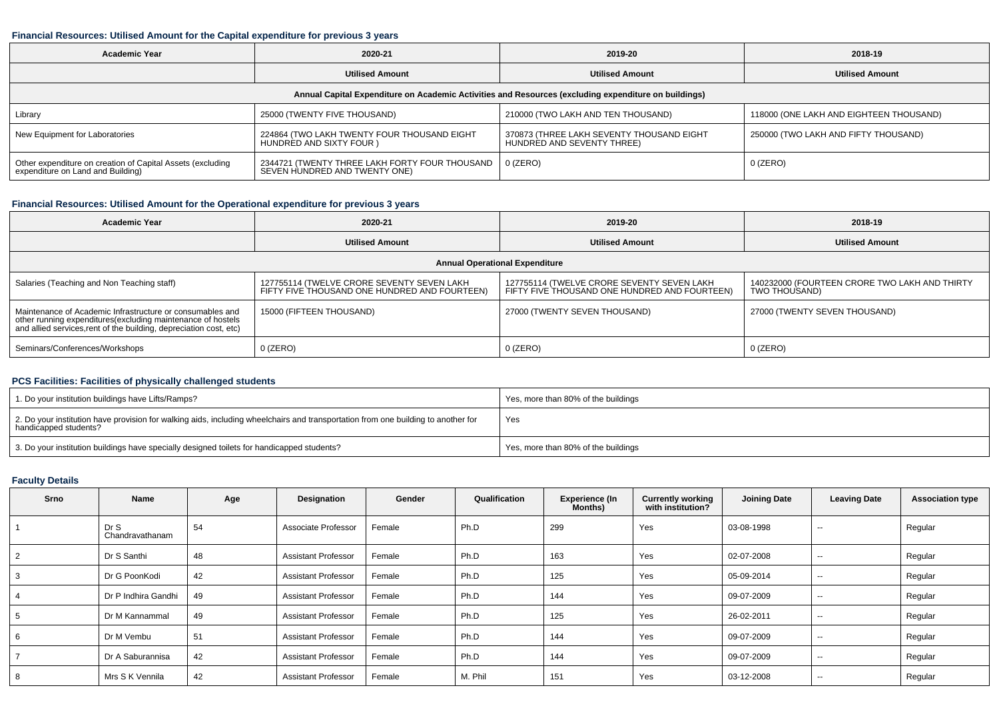#### **Financial Resources: Utilised Amount for the Capital expenditure for previous 3 years**

| <b>Academic Year</b>                                                                            | 2020-21                                                                         | 2019-20                                                                                              | 2018-19                                 |
|-------------------------------------------------------------------------------------------------|---------------------------------------------------------------------------------|------------------------------------------------------------------------------------------------------|-----------------------------------------|
|                                                                                                 | <b>Utilised Amount</b>                                                          | <b>Utilised Amount</b>                                                                               | <b>Utilised Amount</b>                  |
|                                                                                                 |                                                                                 | Annual Capital Expenditure on Academic Activities and Resources (excluding expenditure on buildings) |                                         |
| Library                                                                                         | 25000 (TWENTY FIVE THOUSAND)                                                    | 210000 (TWO LAKH AND TEN THOUSAND)                                                                   | 118000 (ONE LAKH AND EIGHTEEN THOUSAND) |
| New Equipment for Laboratories                                                                  | 224864 (TWO LAKH TWENTY FOUR THOUSAND EIGHT<br>HUNDRED AND SIXTY FOUR )         | 370873 (THREE LAKH SEVENTY THOUSAND EIGHT<br>HUNDRED AND SEVENTY THREE)                              | 250000 (TWO LAKH AND FIFTY THOUSAND)    |
| Other expenditure on creation of Capital Assets (excluding<br>expenditure on Land and Building) | 2344721 (TWENTY THREE LAKH FORTY FOUR THOUSAND<br>SEVEN HUNDRED AND TWENTY ONE) | 0 (ZERO)                                                                                             | $0$ (ZERO)                              |

### **Financial Resources: Utilised Amount for the Operational expenditure for previous 3 years**

| <b>Academic Year</b>                                                                                                                                                                            | 2020-21                                                                                     | 2019-20                                                                                     | 2018-19                                                        |
|-------------------------------------------------------------------------------------------------------------------------------------------------------------------------------------------------|---------------------------------------------------------------------------------------------|---------------------------------------------------------------------------------------------|----------------------------------------------------------------|
| <b>Utilised Amount</b>                                                                                                                                                                          |                                                                                             | <b>Utilised Amount</b>                                                                      | <b>Utilised Amount</b>                                         |
|                                                                                                                                                                                                 |                                                                                             | <b>Annual Operational Expenditure</b>                                                       |                                                                |
| Salaries (Teaching and Non Teaching staff)                                                                                                                                                      | 127755114 (TWELVE CRORE SEVENTY SEVEN LAKH<br>FIFTY FIVE THOUSAND ONE HUNDRED AND FOURTEEN) | 127755114 (TWELVE CRORE SEVENTY SEVEN LAKH<br>FIFTY FIVE THOUSAND ONE HUNDRED AND FOURTEEN) | 140232000 (FOURTEEN CRORE TWO LAKH AND THIRTY<br>TWO THOUSAND) |
| Maintenance of Academic Infrastructure or consumables and<br>other running expenditures (excluding maintenance of hostels<br>and allied services, rent of the building, depreciation cost, etc) | 15000 (FIFTEEN THOUSAND)                                                                    | 27000 (TWENTY SEVEN THOUSAND)                                                               | 27000 (TWENTY SEVEN THOUSAND)                                  |
| Seminars/Conferences/Workshops                                                                                                                                                                  | $0$ (ZERO)                                                                                  | $0$ (ZERO)                                                                                  | $0$ (ZERO)                                                     |

### **PCS Facilities: Facilities of physically challenged students**

| 1. Do your institution buildings have Lifts/Ramps?                                                                                                         | Yes, more than 80% of the buildings |
|------------------------------------------------------------------------------------------------------------------------------------------------------------|-------------------------------------|
| 2. Do your institution have provision for walking aids, including wheelchairs and transportation from one building to another for<br>handicapped students? | Yes                                 |
| 3. Do your institution buildings have specially designed toilets for handicapped students?                                                                 | Yes, more than 80% of the buildings |

### **Faculty Details**

| Srno | Name                    | Age | Designation                | Gender | Qualification | <b>Experience (In</b><br><b>Months</b> ) | <b>Currently working</b><br>with institution? | <b>Joining Date</b> | <b>Leaving Date</b>      | <b>Association type</b> |
|------|-------------------------|-----|----------------------------|--------|---------------|------------------------------------------|-----------------------------------------------|---------------------|--------------------------|-------------------------|
|      | Dr S<br>Chandravathanam | 54  | Associate Professor        | Female | Ph.D          | 299                                      | Yes                                           | 03-08-1998          | $\sim$                   | Regular                 |
|      | Dr S Santhi             | 48  | <b>Assistant Professor</b> | Female | Ph.D          | 163                                      | Yes                                           | 02-07-2008          | $- -$                    | Regular                 |
|      | Dr G PoonKodi           | 42  | <b>Assistant Professor</b> | Female | Ph.D          | 125                                      | Yes                                           | 05-09-2014          | $\overline{\phantom{a}}$ | Regular                 |
|      | Dr P Indhira Gandhi     | 49  | <b>Assistant Professor</b> | Female | Ph.D          | 144                                      | Yes                                           | 09-07-2009          | $\sim$                   | Regular                 |
|      | Dr M Kannammal          | 49  | <b>Assistant Professor</b> | Female | Ph.D          | 125                                      | Yes                                           | 26-02-2011          | $- -$                    | Regular                 |
|      | Dr M Vembu              | 51  | <b>Assistant Professor</b> | Female | Ph.D          | 144                                      | Yes                                           | 09-07-2009          | $- -$                    | Regular                 |
|      | Dr A Saburannisa        | 42  | <b>Assistant Professor</b> | Female | Ph.D          | 144                                      | Yes                                           | 09-07-2009          | $\sim$                   | Regular                 |
|      | Mrs S K Vennila         | 42  | <b>Assistant Professor</b> | Female | M. Phil       | 151                                      | Yes                                           | 03-12-2008          | $\overline{\phantom{a}}$ | Regular                 |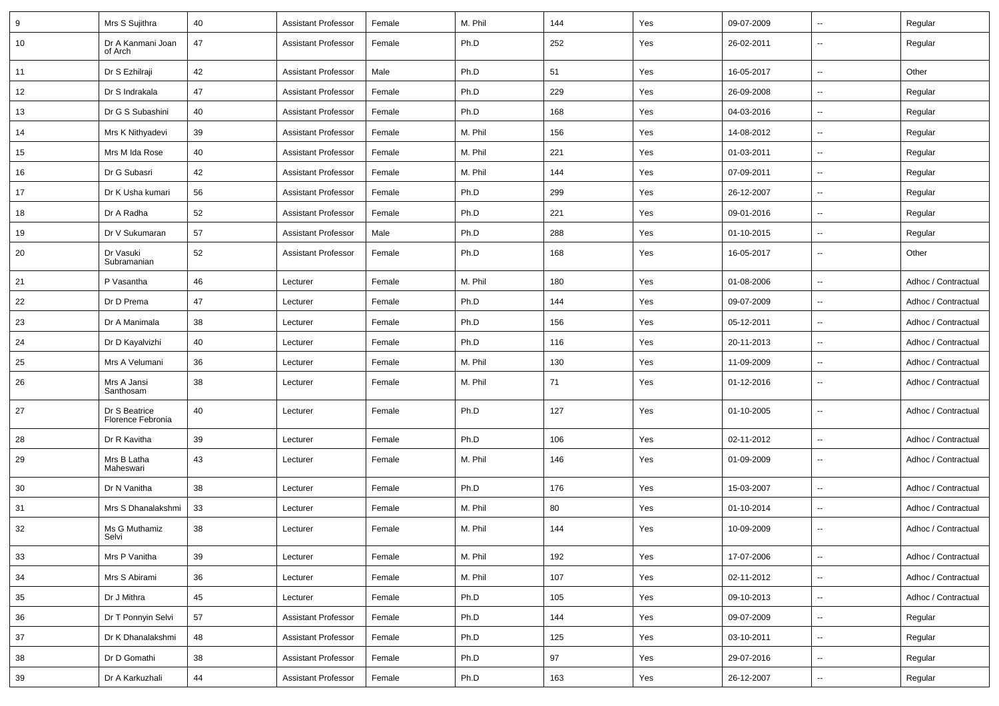| 9  | Mrs S Sujithra                     | 40       | <b>Assistant Professor</b> | Female | M. Phil | 144 | Yes | 09-07-2009 | $\sim$                   | Regular             |
|----|------------------------------------|----------|----------------------------|--------|---------|-----|-----|------------|--------------------------|---------------------|
| 10 | Dr A Kanmani Joan<br>of Arch       | 47       | <b>Assistant Professor</b> | Female | Ph.D    | 252 | Yes | 26-02-2011 | Ξ.                       | Regular             |
| 11 | Dr S Ezhilraji                     | 42       | <b>Assistant Professor</b> | Male   | Ph.D    | 51  | Yes | 16-05-2017 | ш.                       | Other               |
| 12 | Dr S Indrakala                     | 47       | <b>Assistant Professor</b> | Female | Ph.D    | 229 | Yes | 26-09-2008 | Ξ.                       | Regular             |
| 13 | Dr G S Subashini                   | 40       | <b>Assistant Professor</b> | Female | Ph.D    | 168 | Yes | 04-03-2016 | $\overline{a}$           | Regular             |
| 14 | Mrs K Nithyadevi                   | 39       | <b>Assistant Professor</b> | Female | M. Phil | 156 | Yes | 14-08-2012 | $\overline{a}$           | Regular             |
| 15 | Mrs M Ida Rose                     | 40       | <b>Assistant Professor</b> | Female | M. Phil | 221 | Yes | 01-03-2011 | $\sim$                   | Regular             |
| 16 | Dr G Subasri                       | 42       | <b>Assistant Professor</b> | Female | M. Phil | 144 | Yes | 07-09-2011 | $\sim$                   | Regular             |
| 17 | Dr K Usha kumari                   | 56       | <b>Assistant Professor</b> | Female | Ph.D    | 299 | Yes | 26-12-2007 | Ξ.                       | Regular             |
| 18 | Dr A Radha                         | 52       | <b>Assistant Professor</b> | Female | Ph.D    | 221 | Yes | 09-01-2016 | Ξ.                       | Regular             |
| 19 | Dr V Sukumaran                     | 57       | <b>Assistant Professor</b> | Male   | Ph.D    | 288 | Yes | 01-10-2015 | ۰.                       | Regular             |
| 20 | Dr Vasuki<br>Subramanian           | 52       | <b>Assistant Professor</b> | Female | Ph.D    | 168 | Yes | 16-05-2017 | ш.                       | Other               |
| 21 | P Vasantha                         | 46       | Lecturer                   | Female | M. Phil | 180 | Yes | 01-08-2006 | $\overline{\phantom{a}}$ | Adhoc / Contractual |
| 22 | Dr D Prema                         | 47       | Lecturer                   | Female | Ph.D    | 144 | Yes | 09-07-2009 | $\sim$                   | Adhoc / Contractual |
| 23 | Dr A Manimala                      | 38       | Lecturer                   | Female | Ph.D    | 156 | Yes | 05-12-2011 | $\sim$                   | Adhoc / Contractual |
| 24 | Dr D Kayalvizhi                    | 40       | Lecturer                   | Female | Ph.D    | 116 | Yes | 20-11-2013 | Ξ.                       | Adhoc / Contractual |
| 25 | Mrs A Velumani                     | 36       | Lecturer                   | Female | M. Phil | 130 | Yes | 11-09-2009 | $\sim$                   | Adhoc / Contractual |
| 26 | Mrs A Jansi<br>Santhosam           | 38       | Lecturer                   | Female | M. Phil | 71  | Yes | 01-12-2016 | $-$                      | Adhoc / Contractual |
| 27 | Dr S Beatrice<br>Florence Febronia | 40       | Lecturer                   | Female | Ph.D    | 127 | Yes | 01-10-2005 | $\overline{a}$           | Adhoc / Contractual |
| 28 | Dr R Kavitha                       | 39       | Lecturer                   | Female | Ph.D    | 106 | Yes | 02-11-2012 | ۰.                       | Adhoc / Contractual |
| 29 | Mrs B Latha<br>Maheswari           | 43       | Lecturer                   | Female | M. Phil | 146 | Yes | 01-09-2009 | Ξ.                       | Adhoc / Contractual |
| 30 | Dr N Vanitha                       | 38       | Lecturer                   | Female | Ph.D    | 176 | Yes | 15-03-2007 | ш,                       | Adhoc / Contractual |
| 31 | Mrs S Dhanalakshmi                 | 33       | Lecturer                   | Female | M. Phil | 80  | Yes | 01-10-2014 | $\overline{\phantom{a}}$ | Adhoc / Contractual |
| 32 | Ms G Muthamiz<br>Selvi             | 38       | Lecturer                   | Female | M. Phil | 144 | Yes | 10-09-2009 | $\overline{\phantom{a}}$ | Adhoc / Contractual |
| 33 | Mrs P Vanitha                      | 39       | Lecturer                   | Female | M. Phil | 192 | Yes | 17-07-2006 | ц.                       | Adhoc / Contractual |
| 34 | Mrs S Abirami                      | 36       | Lecturer                   | Female | M. Phil | 107 | Yes | 02-11-2012 | $\overline{\phantom{a}}$ | Adhoc / Contractual |
| 35 | Dr J Mithra                        | 45       | Lecturer                   | Female | Ph.D    | 105 | Yes | 09-10-2013 | Щ,                       | Adhoc / Contractual |
| 36 | Dr T Ponnyin Selvi                 | 57       | <b>Assistant Professor</b> | Female | Ph.D    | 144 | Yes | 09-07-2009 | $\sim$                   | Regular             |
| 37 | Dr K Dhanalakshmi                  | 48       | <b>Assistant Professor</b> | Female | Ph.D    | 125 | Yes | 03-10-2011 | ц.                       | Regular             |
| 38 | Dr D Gomathi                       | 38       | <b>Assistant Professor</b> | Female | Ph.D    | 97  | Yes | 29-07-2016 | $\overline{\phantom{a}}$ | Regular             |
| 39 | Dr A Karkuzhali                    | $\bf 44$ | <b>Assistant Professor</b> | Female | Ph.D    | 163 | Yes | 26-12-2007 | $\overline{\phantom{a}}$ | Regular             |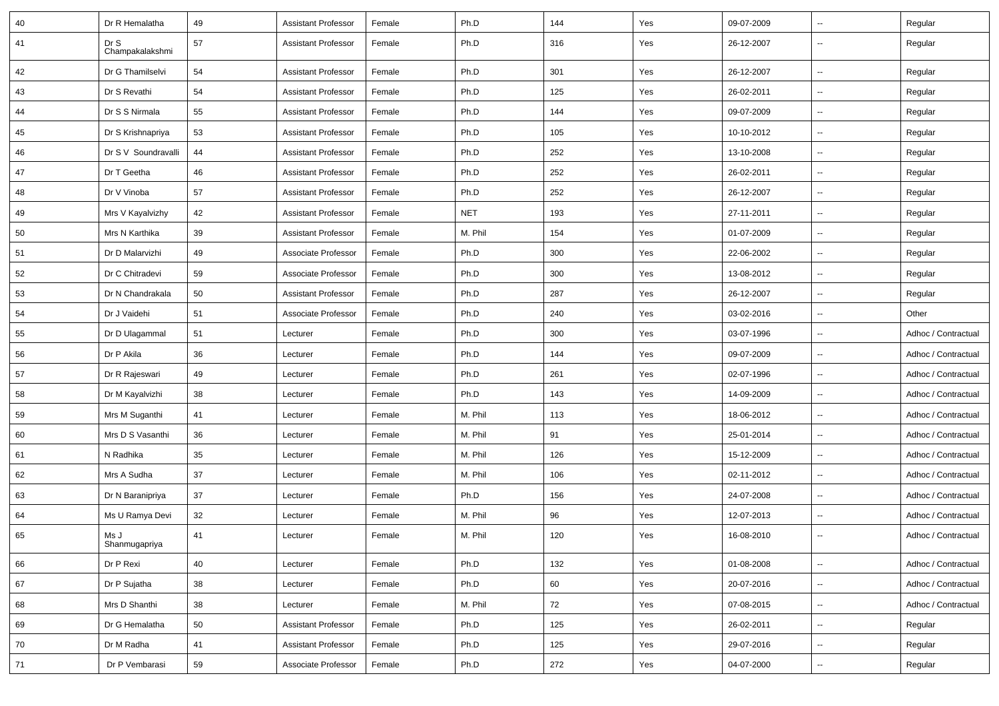| 40 | Dr R Hemalatha          | 49 | <b>Assistant Professor</b> | Female | Ph.D       | 144 | Yes | 09-07-2009 | --                       | Regular             |
|----|-------------------------|----|----------------------------|--------|------------|-----|-----|------------|--------------------------|---------------------|
| 41 | Dr S<br>Champakalakshmi | 57 | <b>Assistant Professor</b> | Female | Ph.D       | 316 | Yes | 26-12-2007 | Ξ.                       | Regular             |
| 42 | Dr G Thamilselvi        | 54 | <b>Assistant Professor</b> | Female | Ph.D       | 301 | Yes | 26-12-2007 | Щ,                       | Regular             |
| 43 | Dr S Revathi            | 54 | <b>Assistant Professor</b> | Female | Ph.D       | 125 | Yes | 26-02-2011 | $\overline{\phantom{a}}$ | Regular             |
| 44 | Dr S S Nirmala          | 55 | <b>Assistant Professor</b> | Female | Ph.D       | 144 | Yes | 09-07-2009 | $\overline{\phantom{a}}$ | Regular             |
| 45 | Dr S Krishnapriya       | 53 | <b>Assistant Professor</b> | Female | Ph.D       | 105 | Yes | 10-10-2012 | Щ,                       | Regular             |
| 46 | Dr S V Soundravalli     | 44 | <b>Assistant Professor</b> | Female | Ph.D       | 252 | Yes | 13-10-2008 | $\overline{\phantom{a}}$ | Regular             |
| 47 | Dr T Geetha             | 46 | <b>Assistant Professor</b> | Female | Ph.D       | 252 | Yes | 26-02-2011 | $\overline{\phantom{a}}$ | Regular             |
| 48 | Dr V Vinoba             | 57 | <b>Assistant Professor</b> | Female | Ph.D       | 252 | Yes | 26-12-2007 | Щ,                       | Regular             |
| 49 | Mrs V Kayalvizhy        | 42 | <b>Assistant Professor</b> | Female | <b>NET</b> | 193 | Yes | 27-11-2011 | $\overline{\phantom{a}}$ | Regular             |
| 50 | Mrs N Karthika          | 39 | <b>Assistant Professor</b> | Female | M. Phil    | 154 | Yes | 01-07-2009 | $\overline{\phantom{a}}$ | Regular             |
| 51 | Dr D Malarvizhi         | 49 | Associate Professor        | Female | Ph.D       | 300 | Yes | 22-06-2002 | Ξ.                       | Regular             |
| 52 | Dr C Chitradevi         | 59 | Associate Professor        | Female | Ph.D       | 300 | Yes | 13-08-2012 | Щ,                       | Regular             |
| 53 | Dr N Chandrakala        | 50 | <b>Assistant Professor</b> | Female | Ph.D       | 287 | Yes | 26-12-2007 | $\overline{\phantom{a}}$ | Regular             |
| 54 | Dr J Vaidehi            | 51 | Associate Professor        | Female | Ph.D       | 240 | Yes | 03-02-2016 | Щ,                       | Other               |
| 55 | Dr D Ulagammal          | 51 | Lecturer                   | Female | Ph.D       | 300 | Yes | 03-07-1996 | --                       | Adhoc / Contractual |
| 56 | Dr P Akila              | 36 | Lecturer                   | Female | Ph.D       | 144 | Yes | 09-07-2009 | $\overline{\phantom{a}}$ | Adhoc / Contractual |
| 57 | Dr R Rajeswari          | 49 | Lecturer                   | Female | Ph.D       | 261 | Yes | 02-07-1996 | Щ,                       | Adhoc / Contractual |
| 58 | Dr M Kayalvizhi         | 38 | Lecturer                   | Female | Ph.D       | 143 | Yes | 14-09-2009 | $\overline{\phantom{a}}$ | Adhoc / Contractual |
| 59 | Mrs M Suganthi          | 41 | Lecturer                   | Female | M. Phil    | 113 | Yes | 18-06-2012 | $\overline{\phantom{a}}$ | Adhoc / Contractual |
| 60 | Mrs D S Vasanthi        | 36 | Lecturer                   | Female | M. Phil    | 91  | Yes | 25-01-2014 | $\overline{\phantom{a}}$ | Adhoc / Contractual |
| 61 | N Radhika               | 35 | Lecturer                   | Female | M. Phil    | 126 | Yes | 15-12-2009 | $\overline{\phantom{a}}$ | Adhoc / Contractual |
| 62 | Mrs A Sudha             | 37 | Lecturer                   | Female | M. Phil    | 106 | Yes | 02-11-2012 | $\overline{\phantom{a}}$ | Adhoc / Contractual |
| 63 | Dr N Baranipriya        | 37 | Lecturer                   | Female | Ph.D       | 156 | Yes | 24-07-2008 | Щ,                       | Adhoc / Contractual |
| 64 | Ms U Ramya Devi         | 32 | Lecturer                   | Female | M. Phil    | 96  | Yes | 12-07-2013 | Щ,                       | Adhoc / Contractual |
| 65 | Ms J<br>Shanmugapriya   | 41 | Lecturer                   | Female | M. Phil    | 120 | Yes | 16-08-2010 | $\overline{\phantom{a}}$ | Adhoc / Contractual |
| 66 | Dr P Rexi               | 40 | Lecturer                   | Female | Ph.D       | 132 | Yes | 01-08-2008 | Щ,                       | Adhoc / Contractual |
| 67 | Dr P Sujatha            | 38 | Lecturer                   | Female | Ph.D       | 60  | Yes | 20-07-2016 | --                       | Adhoc / Contractual |
| 68 | Mrs D Shanthi           | 38 | Lecturer                   | Female | M. Phil    | 72  | Yes | 07-08-2015 | $\overline{\phantom{a}}$ | Adhoc / Contractual |
| 69 | Dr G Hemalatha          | 50 | <b>Assistant Professor</b> | Female | Ph.D       | 125 | Yes | 26-02-2011 | Щ,                       | Regular             |
| 70 | Dr M Radha              | 41 | <b>Assistant Professor</b> | Female | Ph.D       | 125 | Yes | 29-07-2016 | Щ,                       | Regular             |
| 71 | Dr P Vembarasi          | 59 | Associate Professor        | Female | Ph.D       | 272 | Yes | 04-07-2000 | --                       | Regular             |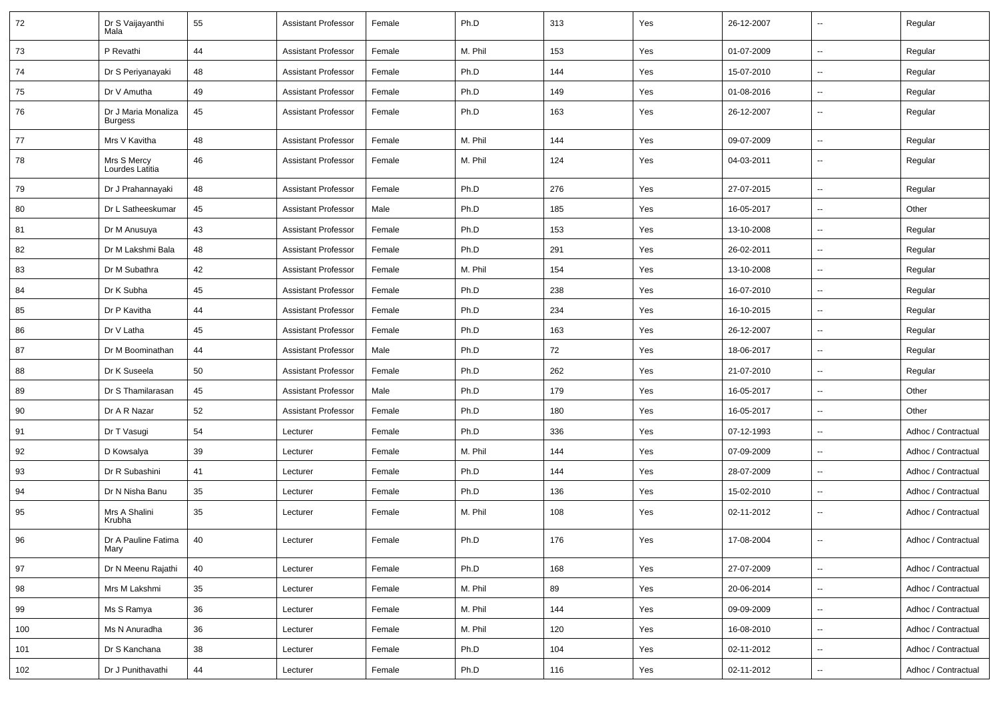| 72  | Dr S Vaijayanthi<br>Mala              | 55 | <b>Assistant Professor</b> | Female | Ph.D    | 313 | Yes | 26-12-2007 | --                       | Regular             |
|-----|---------------------------------------|----|----------------------------|--------|---------|-----|-----|------------|--------------------------|---------------------|
| 73  | P Revathi                             | 44 | <b>Assistant Professor</b> | Female | M. Phil | 153 | Yes | 01-07-2009 | $\overline{\phantom{a}}$ | Regular             |
| 74  | Dr S Periyanayaki                     | 48 | <b>Assistant Professor</b> | Female | Ph.D    | 144 | Yes | 15-07-2010 | $\overline{\phantom{a}}$ | Regular             |
| 75  | Dr V Amutha                           | 49 | <b>Assistant Professor</b> | Female | Ph.D    | 149 | Yes | 01-08-2016 | $\overline{\phantom{a}}$ | Regular             |
| 76  | Dr J Maria Monaliza<br><b>Burgess</b> | 45 | Assistant Professor        | Female | Ph.D    | 163 | Yes | 26-12-2007 | --                       | Regular             |
| 77  | Mrs V Kavitha                         | 48 | <b>Assistant Professor</b> | Female | M. Phil | 144 | Yes | 09-07-2009 | $\overline{\phantom{a}}$ | Regular             |
| 78  | Mrs S Mercy<br>Lourdes Latitia        | 46 | <b>Assistant Professor</b> | Female | M. Phil | 124 | Yes | 04-03-2011 | $\overline{\phantom{a}}$ | Regular             |
| 79  | Dr J Prahannayaki                     | 48 | Assistant Professor        | Female | Ph.D    | 276 | Yes | 27-07-2015 | $\overline{\phantom{a}}$ | Regular             |
| 80  | Dr L Satheeskumar                     | 45 | <b>Assistant Professor</b> | Male   | Ph.D    | 185 | Yes | 16-05-2017 | Ξ.                       | Other               |
| 81  | Dr M Anusuya                          | 43 | <b>Assistant Professor</b> | Female | Ph.D    | 153 | Yes | 13-10-2008 | $\sim$                   | Regular             |
| 82  | Dr M Lakshmi Bala                     | 48 | <b>Assistant Professor</b> | Female | Ph.D    | 291 | Yes | 26-02-2011 | $\overline{\phantom{a}}$ | Regular             |
| 83  | Dr M Subathra                         | 42 | <b>Assistant Professor</b> | Female | M. Phil | 154 | Yes | 13-10-2008 | $\overline{\phantom{a}}$ | Regular             |
| 84  | Dr K Subha                            | 45 | <b>Assistant Professor</b> | Female | Ph.D    | 238 | Yes | 16-07-2010 | $\overline{\phantom{a}}$ | Regular             |
| 85  | Dr P Kavitha                          | 44 | <b>Assistant Professor</b> | Female | Ph.D    | 234 | Yes | 16-10-2015 | $\overline{\phantom{a}}$ | Regular             |
| 86  | Dr V Latha                            | 45 | <b>Assistant Professor</b> | Female | Ph.D    | 163 | Yes | 26-12-2007 | Ξ.                       | Regular             |
| 87  | Dr M Boominathan                      | 44 | <b>Assistant Professor</b> | Male   | Ph.D    | 72  | Yes | 18-06-2017 | $\overline{\phantom{a}}$ | Regular             |
| 88  | Dr K Suseela                          | 50 | <b>Assistant Professor</b> | Female | Ph.D    | 262 | Yes | 21-07-2010 | $\overline{\phantom{a}}$ | Regular             |
| 89  | Dr S Thamilarasan                     | 45 | Assistant Professor        | Male   | Ph.D    | 179 | Yes | 16-05-2017 | Ξ.                       | Other               |
| 90  | Dr A R Nazar                          | 52 | Assistant Professor        | Female | Ph.D    | 180 | Yes | 16-05-2017 | --                       | Other               |
| 91  | Dr T Vasugi                           | 54 | Lecturer                   | Female | Ph.D    | 336 | Yes | 07-12-1993 | $\overline{\phantom{a}}$ | Adhoc / Contractual |
| 92  | D Kowsalya                            | 39 | Lecturer                   | Female | M. Phil | 144 | Yes | 07-09-2009 | Ξ.                       | Adhoc / Contractual |
| 93  | Dr R Subashini                        | 41 | Lecturer                   | Female | Ph.D    | 144 | Yes | 28-07-2009 | $\overline{\phantom{a}}$ | Adhoc / Contractual |
| 94  | Dr N Nisha Banu                       | 35 | Lecturer                   | Female | Ph.D    | 136 | Yes | 15-02-2010 | $\overline{\phantom{a}}$ | Adhoc / Contractual |
| 95  | Mrs A Shalini<br>Krubha               | 35 | Lecturer                   | Female | M. Phil | 108 | Yes | 02-11-2012 | $\overline{\phantom{a}}$ | Adhoc / Contractual |
| 96  | Dr A Pauline Fatima<br>Mary           | 40 | Lecturer                   | Female | Ph.D    | 176 | Yes | 17-08-2004 | $\sim$                   | Adhoc / Contractual |
| 97  | Dr N Meenu Rajathi                    | 40 | Lecturer                   | Female | Ph.D    | 168 | Yes | 27-07-2009 | Щ,                       | Adhoc / Contractual |
| 98  | Mrs M Lakshmi                         | 35 | Lecturer                   | Female | M. Phil | 89  | Yes | 20-06-2014 | --                       | Adhoc / Contractual |
| 99  | Ms S Ramya                            | 36 | Lecturer                   | Female | M. Phil | 144 | Yes | 09-09-2009 | Щ,                       | Adhoc / Contractual |
| 100 | Ms N Anuradha                         | 36 | Lecturer                   | Female | M. Phil | 120 | Yes | 16-08-2010 | $\overline{\phantom{a}}$ | Adhoc / Contractual |
| 101 | Dr S Kanchana                         | 38 | Lecturer                   | Female | Ph.D    | 104 | Yes | 02-11-2012 | ۰.                       | Adhoc / Contractual |
| 102 | Dr J Punithavathi                     | 44 | Lecturer                   | Female | Ph.D    | 116 | Yes | 02-11-2012 | ⊷                        | Adhoc / Contractual |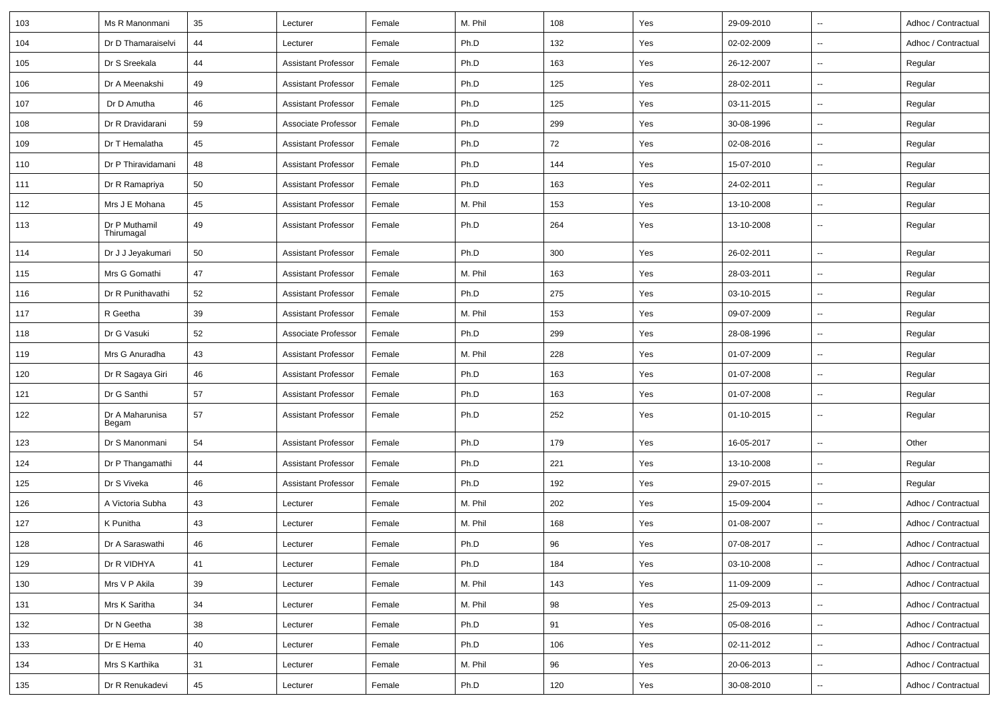| 103 | Ms R Manonmani              | 35 | Lecturer                   | Female | M. Phil | 108    | Yes | 29-09-2010 | $\overline{\phantom{a}}$ | Adhoc / Contractual |
|-----|-----------------------------|----|----------------------------|--------|---------|--------|-----|------------|--------------------------|---------------------|
| 104 | Dr D Thamaraiselvi          | 44 | Lecturer                   | Female | Ph.D    | 132    | Yes | 02-02-2009 | $\sim$                   | Adhoc / Contractual |
| 105 | Dr S Sreekala               | 44 | <b>Assistant Professor</b> | Female | Ph.D    | 163    | Yes | 26-12-2007 | $\sim$                   | Regular             |
| 106 | Dr A Meenakshi              | 49 | <b>Assistant Professor</b> | Female | Ph.D    | 125    | Yes | 28-02-2011 | $\overline{\phantom{a}}$ | Regular             |
| 107 | Dr D Amutha                 | 46 | <b>Assistant Professor</b> | Female | Ph.D    | 125    | Yes | 03-11-2015 | $\sim$                   | Regular             |
| 108 | Dr R Dravidarani            | 59 | Associate Professor        | Female | Ph.D    | 299    | Yes | 30-08-1996 | $\overline{\phantom{a}}$ | Regular             |
| 109 | Dr T Hemalatha              | 45 | <b>Assistant Professor</b> | Female | Ph.D    | 72     | Yes | 02-08-2016 | $\overline{\phantom{a}}$ | Regular             |
| 110 | Dr P Thiravidamani          | 48 | <b>Assistant Professor</b> | Female | Ph.D    | 144    | Yes | 15-07-2010 | $\sim$                   | Regular             |
| 111 | Dr R Ramapriya              | 50 | <b>Assistant Professor</b> | Female | Ph.D    | 163    | Yes | 24-02-2011 | $\overline{\phantom{a}}$ | Regular             |
| 112 | Mrs J E Mohana              | 45 | <b>Assistant Professor</b> | Female | M. Phil | 153    | Yes | 13-10-2008 | $\overline{\phantom{a}}$ | Regular             |
| 113 | Dr P Muthamil<br>Thirumagal | 49 | <b>Assistant Professor</b> | Female | Ph.D    | 264    | Yes | 13-10-2008 | $\overline{\phantom{a}}$ | Regular             |
| 114 | Dr J J Jeyakumari           | 50 | <b>Assistant Professor</b> | Female | Ph.D    | 300    | Yes | 26-02-2011 | $\sim$                   | Regular             |
| 115 | Mrs G Gomathi               | 47 | <b>Assistant Professor</b> | Female | M. Phil | 163    | Yes | 28-03-2011 | $\overline{\phantom{a}}$ | Regular             |
| 116 | Dr R Punithavathi           | 52 | <b>Assistant Professor</b> | Female | Ph.D    | 275    | Yes | 03-10-2015 | $\sim$                   | Regular             |
| 117 | R Geetha                    | 39 | <b>Assistant Professor</b> | Female | M. Phil | 153    | Yes | 09-07-2009 | $\sim$                   | Regular             |
| 118 | Dr G Vasuki                 | 52 | Associate Professor        | Female | Ph.D    | 299    | Yes | 28-08-1996 | $\overline{\phantom{a}}$ | Regular             |
| 119 | Mrs G Anuradha              | 43 | <b>Assistant Professor</b> | Female | M. Phil | 228    | Yes | 01-07-2009 | $\overline{\phantom{a}}$ | Regular             |
| 120 | Dr R Sagaya Giri            | 46 | <b>Assistant Professor</b> | Female | Ph.D    | 163    | Yes | 01-07-2008 | $\sim$                   | Regular             |
| 121 | Dr G Santhi                 | 57 | <b>Assistant Professor</b> | Female | Ph.D    | 163    | Yes | 01-07-2008 | $\sim$                   | Regular             |
| 122 | Dr A Maharunisa<br>Begam    | 57 | <b>Assistant Professor</b> | Female | Ph.D    | 252    | Yes | 01-10-2015 | $\mathbf{u}$             | Regular             |
| 123 | Dr S Manonmani              | 54 | <b>Assistant Professor</b> | Female | Ph.D    | 179    | Yes | 16-05-2017 | $\overline{\phantom{a}}$ | Other               |
| 124 | Dr P Thangamathi            | 44 | <b>Assistant Professor</b> | Female | Ph.D    | 221    | Yes | 13-10-2008 | $\overline{\phantom{a}}$ | Regular             |
| 125 | Dr S Viveka                 | 46 | <b>Assistant Professor</b> | Female | Ph.D    | 192    | Yes | 29-07-2015 | $\sim$                   | Regular             |
| 126 | A Victoria Subha            | 43 | Lecturer                   | Female | M. Phil | 202    | Yes | 15-09-2004 | $\sim$                   | Adhoc / Contractual |
| 127 | K Punitha                   | 43 | Lecturer                   | Female | M. Phil | 168    | Yes | 01-08-2007 | $\overline{\phantom{a}}$ | Adhoc / Contractual |
| 128 | Dr A Saraswathi             | 46 | Lecturer                   | Female | Ph.D    | $96\,$ | Yes | 07-08-2017 |                          | Adhoc / Contractual |
| 129 | Dr R VIDHYA                 | 41 | Lecturer                   | Female | Ph.D    | 184    | Yes | 03-10-2008 | $\overline{\phantom{a}}$ | Adhoc / Contractual |
| 130 | Mrs V P Akila               | 39 | Lecturer                   | Female | M. Phil | 143    | Yes | 11-09-2009 | $\overline{\phantom{a}}$ | Adhoc / Contractual |
| 131 | Mrs K Saritha               | 34 | Lecturer                   | Female | M. Phil | 98     | Yes | 25-09-2013 | $\overline{\phantom{a}}$ | Adhoc / Contractual |
| 132 | Dr N Geetha                 | 38 | Lecturer                   | Female | Ph.D    | 91     | Yes | 05-08-2016 | $\overline{\phantom{a}}$ | Adhoc / Contractual |
| 133 | Dr E Hema                   | 40 | Lecturer                   | Female | Ph.D    | 106    | Yes | 02-11-2012 | $\overline{\phantom{a}}$ | Adhoc / Contractual |
| 134 | Mrs S Karthika              | 31 | Lecturer                   | Female | M. Phil | 96     | Yes | 20-06-2013 | $\overline{\phantom{a}}$ | Adhoc / Contractual |
| 135 | Dr R Renukadevi             | 45 | Lecturer                   | Female | Ph.D    | 120    | Yes | 30-08-2010 | $\overline{\phantom{a}}$ | Adhoc / Contractual |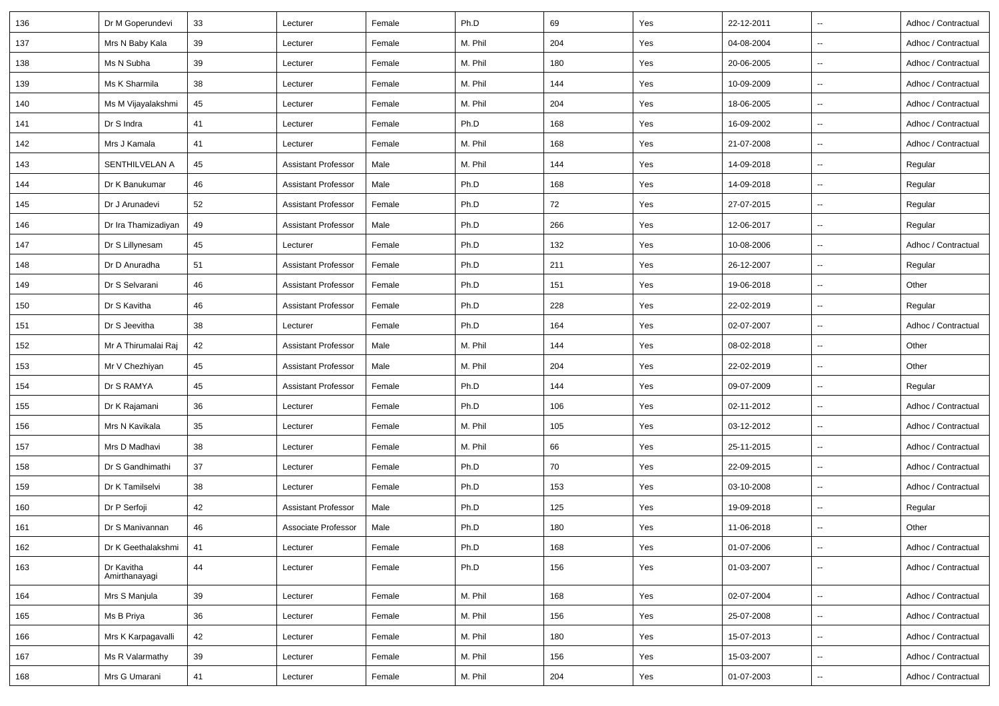| 136 | Dr M Goperundevi            | 33 | Lecturer                   | Female | Ph.D    | 69  | Yes | 22-12-2011 | $\sim$                   | Adhoc / Contractual |
|-----|-----------------------------|----|----------------------------|--------|---------|-----|-----|------------|--------------------------|---------------------|
| 137 | Mrs N Baby Kala             | 39 | Lecturer                   | Female | M. Phil | 204 | Yes | 04-08-2004 | $\overline{\phantom{a}}$ | Adhoc / Contractual |
| 138 | Ms N Subha                  | 39 | Lecturer                   | Female | M. Phil | 180 | Yes | 20-06-2005 | $\overline{\phantom{a}}$ | Adhoc / Contractual |
| 139 | Ms K Sharmila               | 38 | Lecturer                   | Female | M. Phil | 144 | Yes | 10-09-2009 | $\overline{\phantom{a}}$ | Adhoc / Contractual |
| 140 | Ms M Vijayalakshmi          | 45 | Lecturer                   | Female | M. Phil | 204 | Yes | 18-06-2005 | $\overline{\phantom{a}}$ | Adhoc / Contractual |
| 141 | Dr S Indra                  | 41 | Lecturer                   | Female | Ph.D    | 168 | Yes | 16-09-2002 | $\ddotsc$                | Adhoc / Contractual |
| 142 | Mrs J Kamala                | 41 | Lecturer                   | Female | M. Phil | 168 | Yes | 21-07-2008 | $\overline{\phantom{a}}$ | Adhoc / Contractual |
| 143 | SENTHILVELAN A              | 45 | <b>Assistant Professor</b> | Male   | M. Phil | 144 | Yes | 14-09-2018 | $\overline{\phantom{a}}$ | Regular             |
| 144 | Dr K Banukumar              | 46 | <b>Assistant Professor</b> | Male   | Ph.D    | 168 | Yes | 14-09-2018 | $\overline{\phantom{a}}$ | Regular             |
| 145 | Dr J Arunadevi              | 52 | <b>Assistant Professor</b> | Female | Ph.D    | 72  | Yes | 27-07-2015 | $\overline{\phantom{a}}$ | Regular             |
| 146 | Dr Ira Thamizadiyan         | 49 | <b>Assistant Professor</b> | Male   | Ph.D    | 266 | Yes | 12-06-2017 | $\sim$                   | Regular             |
| 147 | Dr S Lillynesam             | 45 | Lecturer                   | Female | Ph.D    | 132 | Yes | 10-08-2006 | $\ddotsc$                | Adhoc / Contractual |
| 148 | Dr D Anuradha               | 51 | <b>Assistant Professor</b> | Female | Ph.D    | 211 | Yes | 26-12-2007 | $\ddotsc$                | Regular             |
| 149 | Dr S Selvarani              | 46 | <b>Assistant Professor</b> | Female | Ph.D    | 151 | Yes | 19-06-2018 | $\sim$                   | Other               |
| 150 | Dr S Kavitha                | 46 | <b>Assistant Professor</b> | Female | Ph.D    | 228 | Yes | 22-02-2019 | --                       | Regular             |
| 151 | Dr S Jeevitha               | 38 | Lecturer                   | Female | Ph.D    | 164 | Yes | 02-07-2007 | --                       | Adhoc / Contractual |
| 152 | Mr A Thirumalai Raj         | 42 | <b>Assistant Professor</b> | Male   | M. Phil | 144 | Yes | 08-02-2018 | $\overline{\phantom{a}}$ | Other               |
| 153 | Mr V Chezhiyan              | 45 | <b>Assistant Professor</b> | Male   | M. Phil | 204 | Yes | 22-02-2019 | $\overline{\phantom{a}}$ | Other               |
| 154 | Dr S RAMYA                  | 45 | <b>Assistant Professor</b> | Female | Ph.D    | 144 | Yes | 09-07-2009 | $\ddotsc$                | Regular             |
| 155 | Dr K Rajamani               | 36 | Lecturer                   | Female | Ph.D    | 106 | Yes | 02-11-2012 | $\sim$                   | Adhoc / Contractual |
| 156 | Mrs N Kavikala              | 35 | Lecturer                   | Female | M. Phil | 105 | Yes | 03-12-2012 | $\sim$                   | Adhoc / Contractual |
| 157 | Mrs D Madhavi               | 38 | Lecturer                   | Female | M. Phil | 66  | Yes | 25-11-2015 | ц,                       | Adhoc / Contractual |
| 158 | Dr S Gandhimathi            | 37 | Lecturer                   | Female | Ph.D    | 70  | Yes | 22-09-2015 | $\overline{\phantom{a}}$ | Adhoc / Contractual |
| 159 | Dr K Tamilselvi             | 38 | Lecturer                   | Female | Ph.D    | 153 | Yes | 03-10-2008 | $\overline{\phantom{a}}$ | Adhoc / Contractual |
| 160 | Dr P Serfoji                | 42 | <b>Assistant Professor</b> | Male   | Ph.D    | 125 | Yes | 19-09-2018 | ц,                       | Regular             |
| 161 | Dr S Manivannan             | 46 | Associate Professor        | Male   | Ph.D    | 180 | Yes | 11-06-2018 | $\overline{\phantom{a}}$ | Other               |
| 162 | Dr K Geethalakshmi          | 41 | Lecturer                   | Female | Ph.D    | 168 | Yes | 01-07-2006 | $\overline{\phantom{a}}$ | Adhoc / Contractual |
| 163 | Dr Kavitha<br>Amirthanayagi | 44 | Lecturer                   | Female | Ph.D    | 156 | Yes | 01-03-2007 | $\overline{\phantom{a}}$ | Adhoc / Contractual |
| 164 | Mrs S Manjula               | 39 | Lecturer                   | Female | M. Phil | 168 | Yes | 02-07-2004 | $\overline{\phantom{a}}$ | Adhoc / Contractual |
| 165 | Ms B Priya                  | 36 | Lecturer                   | Female | M. Phil | 156 | Yes | 25-07-2008 | $\overline{\phantom{a}}$ | Adhoc / Contractual |
| 166 | Mrs K Karpagavalli          | 42 | Lecturer                   | Female | M. Phil | 180 | Yes | 15-07-2013 | $\overline{\phantom{a}}$ | Adhoc / Contractual |
| 167 | Ms R Valarmathy             | 39 | Lecturer                   | Female | M. Phil | 156 | Yes | 15-03-2007 | $\overline{\phantom{a}}$ | Adhoc / Contractual |
| 168 | Mrs G Umarani               | 41 | Lecturer                   | Female | M. Phil | 204 | Yes | 01-07-2003 | $\sim$                   | Adhoc / Contractual |